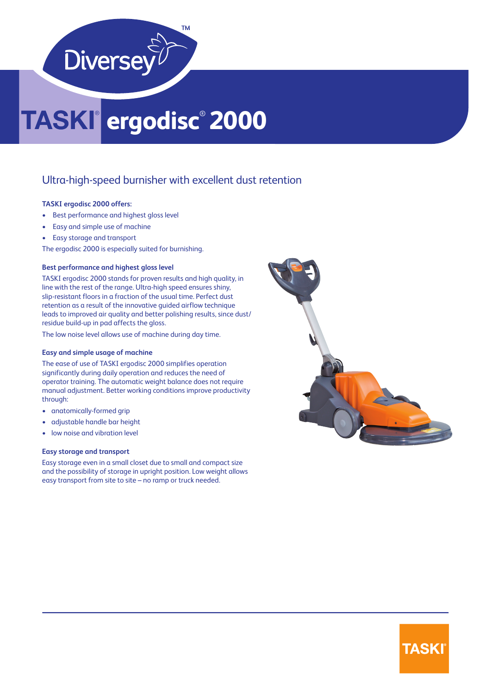

# **ergodisc**®  **2000**

### Ultra-high-speed burnisher with excellent dust retention

#### **TASKI ergodisc 2000 offers:**

- Best performance and highest gloss level
- Easy and simple use of machine
- Easy storage and transport

The ergodisc 2000 is especially suited for burnishing.

#### **Best performance and highest gloss level**

TASKI ergodisc 2000 stands for proven results and high quality, in line with the rest of the range. Ultra-high speed ensures shiny, slip-resistant floors in a fraction of the usual time. Perfect dust retention as a result of the innovative guided airflow technique leads to improved air quality and better polishing results, since dust/ residue build-up in pad affects the gloss.

The low noise level allows use of machine during day time.

#### **Easy and simple usage of machine**

The ease of use of TASKI ergodisc 2000 simplifies operation significantly during daily operation and reduces the need of operator training. The automatic weight balance does not require manual adjustment. Better working conditions improve productivity through:

- anatomically-formed grip
- adjustable handle bar height
- low noise and vibration level

#### **Easy storage and transport**

Easy storage even in a small closet due to small and compact size and the possibility of storage in upright position. Low weight allows easy transport from site to site – no ramp or truck needed.